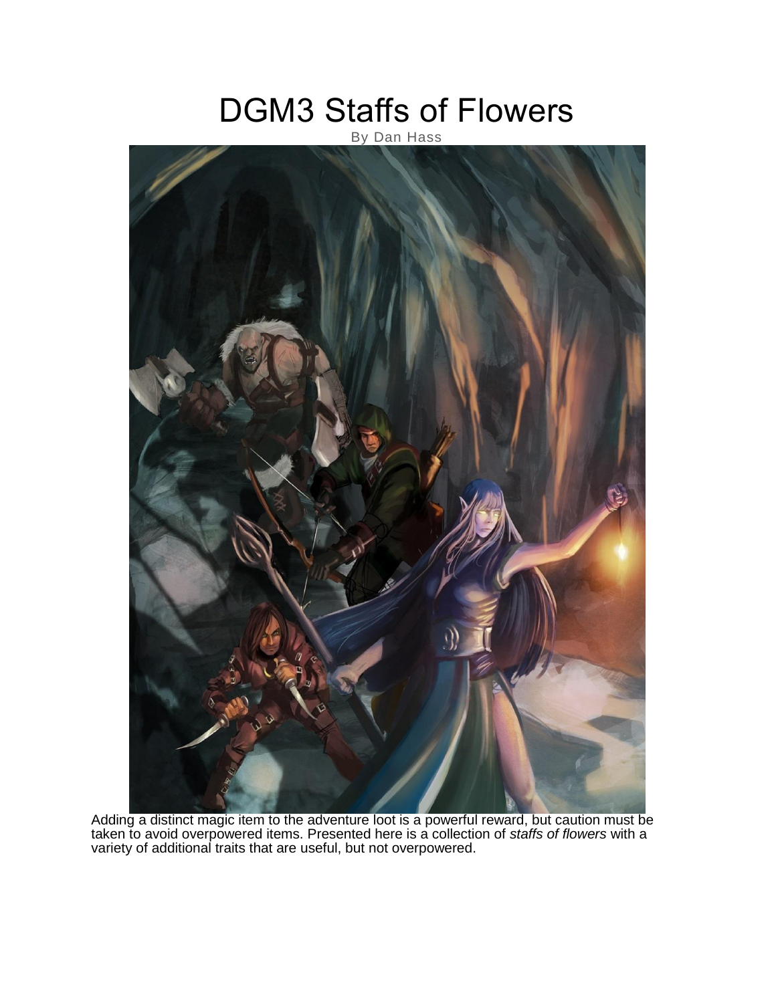# DGM3 Staffs of Flowers

### By Dan Hass



Adding a distinct magic item to the adventure loot is a powerful reward, but caution must be taken to avoid overpowered items. Presented here is a collection of *staffs of flowers* with a variety of additional traits that are useful, but not overpowered.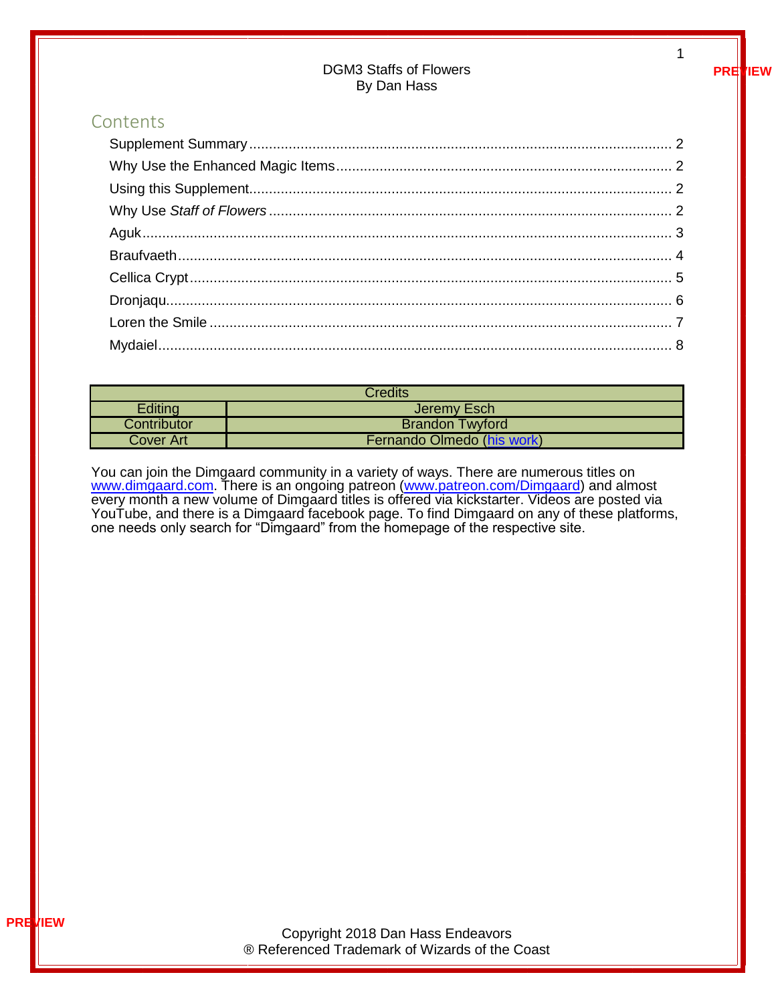#### DGM3 Staffs of Flowers By Dan Hass

#### Contents

| Credits     |                            |  |
|-------------|----------------------------|--|
| Editing     | Jeremy Esch                |  |
| Contributor | <b>Brandon Twyford</b>     |  |
| Cover Art   | Fernando Olmedo (his work) |  |

You can join the Dimgaard community in a variety of ways. There are numerous titles on [www.dimgaard.com.](http://www.dimgaard.com/) There is an ongoing patreon [\(www.patreon.com/Dimgaard\)](http://www.patreon.com/Dimgaard) and almost every month a new volume of Dimgaard titles is offered via kickstarter. Videos are posted via YouTube, and there is a Dimgaard facebook page. To find Dimgaard on any of these platforms, one needs only search for "Dimgaard" from the homepage of the respective site.

**PREVIEW**

1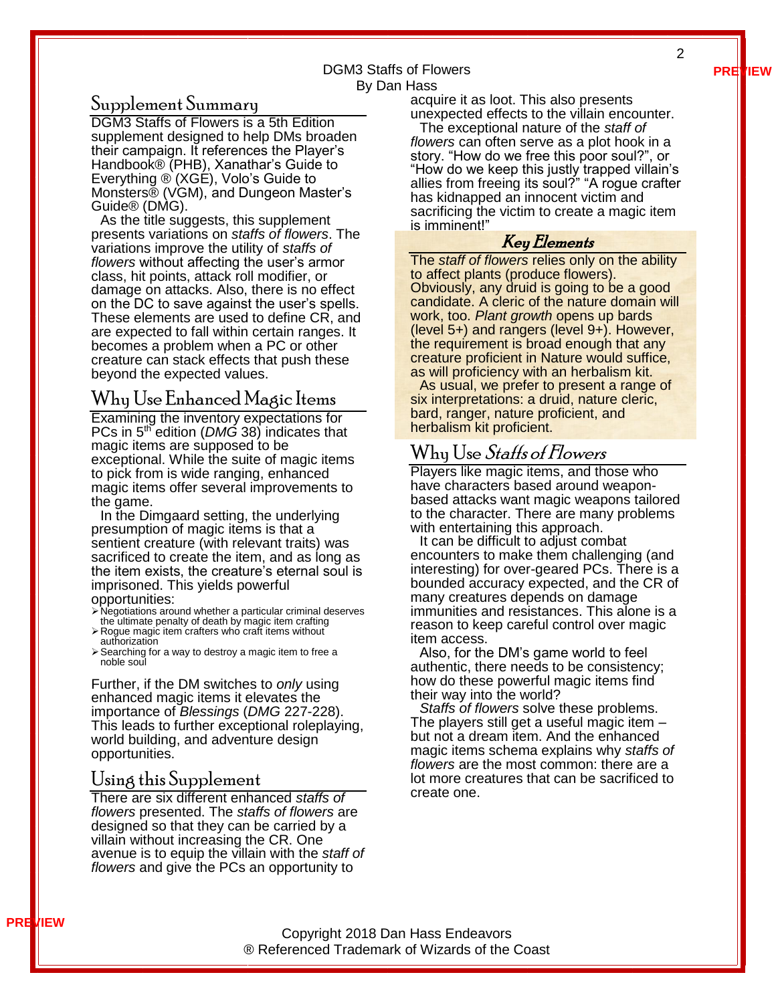**PREVIEW**

2

#### DGM3 Staffs of Flowers By Dan Hass

#### <span id="page-2-0"></span>Supplement Summary

DGM3 Staffs of Flowers is a 5th Edition supplement designed to help DMs broaden their campaign. It references the Player's Handbook® (PHB), Xanathar's Guide to Everything ® (XGE), Volo's Guide to Monsters® (VGM), and Dungeon Master's Guide® (DMG).

As the title suggests, this supplement presents variations on *staffs of flowers*. The variations improve the utility of *staffs of flowers* without affecting the user's armor class, hit points, attack roll modifier, or damage on attacks. Also, there is no effect on the DC to save against the user's spells. These elements are used to define CR, and are expected to fall within certain ranges. It becomes a problem when a PC or other creature can stack effects that push these beyond the expected values.

#### <span id="page-2-1"></span>Why Use Enhanced Magic Items

Examining the inventory expectations for PCs in 5<sup>th</sup> edition (*DMG* 38) indicates that magic items are supposed to be exceptional. While the suite of magic items to pick from is wide ranging, enhanced magic items offer several improvements to the game.

In the Dimgaard setting, the underlying presumption of magic items is that a sentient creature (with relevant traits) was sacrificed to create the item, and as long as the item exists, the creature's eternal soul is imprisoned. This yields powerful opportunities:

- ➢Negotiations around whether a particular criminal deserves
- the ultimate penalty of death by magic item crafting ➢Rogue magic item crafters who craft items without authorization
- ➢Searching for a way to destroy a magic item to free a noble soul

Further, if the DM switches to *only* using enhanced magic items it elevates the importance of *Blessings* (*DMG* 227-228). This leads to further exceptional roleplaying, world building, and adventure design opportunities.

#### <span id="page-2-2"></span>Using this Supplement

There are six different enhanced *staffs of flowers* presented. The *staffs of flowers* are designed so that they can be carried by a villain without increasing the CR. One avenue is to equip the villain with the *staff of flowers* and give the PCs an opportunity to

acquire it as loot. This also presents unexpected effects to the villain encounter.

The exceptional nature of the *staff of flowers* can often serve as a plot hook in a story. "How do we free this poor soul?", or "How do we keep this justly trapped villain's allies from freeing its soul?" "A rogue crafter has kidnapped an innocent victim and sacrificing the victim to create a magic item is imminent!"

#### Key Elements

The *staff of flowers* relies only on the ability to affect plants (produce flowers). Obviously, any druid is going to be a good candidate. A cleric of the nature domain will work, too. *Plant growth* opens up bards (level 5+) and rangers (level 9+). However, the requirement is broad enough that any creature proficient in Nature would suffice, as will proficiency with an herbalism kit.

As usual, we prefer to present a range of six interpretations: a druid, nature cleric, bard, ranger, nature proficient, and herbalism kit proficient.

## <span id="page-2-3"></span>Why Use Staffs of Flowers

Players like magic items, and those who have characters based around weaponbased attacks want magic weapons tailored to the character. There are many problems with entertaining this approach.

It can be difficult to adjust combat encounters to make them challenging (and interesting) for over-geared PCs. There is a bounded accuracy expected, and the CR of many creatures depends on damage immunities and resistances. This alone is a reason to keep careful control over magic item access.

Also, for the DM's game world to feel authentic, there needs to be consistency; how do these powerful magic items find their way into the world?

*Staffs of flowers* solve these problems. The players still get a useful magic item – but not a dream item. And the enhanced magic items schema explains why *staffs of flowers* are the most common: there are a lot more creatures that can be sacrificed to create one.